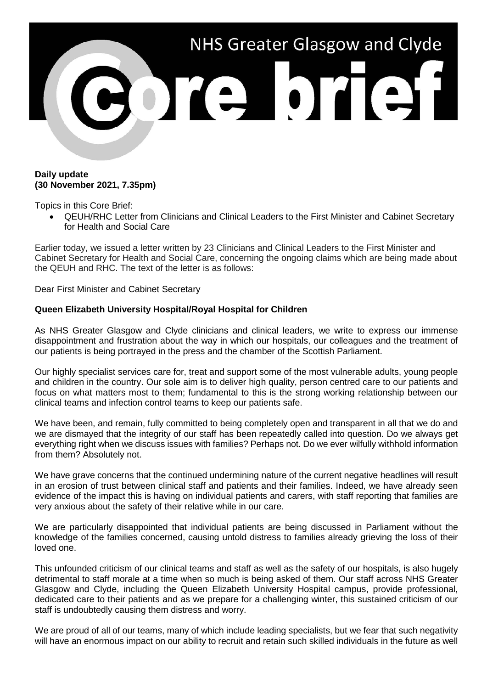

## **Daily update (30 November 2021, 7.35pm)**

Topics in this Core Brief:

• QEUH/RHC Letter from Clinicians and Clinical Leaders to the First Minister and Cabinet Secretary for Health and Social Care

Earlier today, we issued a letter written by 23 Clinicians and Clinical Leaders to the First Minister and Cabinet Secretary for Health and Social Care, concerning the ongoing claims which are being made about the QEUH and RHC. The text of the letter is as follows:

Dear First Minister and Cabinet Secretary

## **Queen Elizabeth University Hospital/Royal Hospital for Children**

As NHS Greater Glasgow and Clyde clinicians and clinical leaders, we write to express our immense disappointment and frustration about the way in which our hospitals, our colleagues and the treatment of our patients is being portrayed in the press and the chamber of the Scottish Parliament.

Our highly specialist services care for, treat and support some of the most vulnerable adults, young people and children in the country. Our sole aim is to deliver high quality, person centred care to our patients and focus on what matters most to them; fundamental to this is the strong working relationship between our clinical teams and infection control teams to keep our patients safe.

We have been, and remain, fully committed to being completely open and transparent in all that we do and we are dismayed that the integrity of our staff has been repeatedly called into question. Do we always get everything right when we discuss issues with families? Perhaps not. Do we ever wilfully withhold information from them? Absolutely not.

We have grave concerns that the continued undermining nature of the current negative headlines will result in an erosion of trust between clinical staff and patients and their families. Indeed, we have already seen evidence of the impact this is having on individual patients and carers, with staff reporting that families are very anxious about the safety of their relative while in our care.

We are particularly disappointed that individual patients are being discussed in Parliament without the knowledge of the families concerned, causing untold distress to families already grieving the loss of their loved one.

This unfounded criticism of our clinical teams and staff as well as the safety of our hospitals, is also hugely detrimental to staff morale at a time when so much is being asked of them. Our staff across NHS Greater Glasgow and Clyde, including the Queen Elizabeth University Hospital campus, provide professional, dedicated care to their patients and as we prepare for a challenging winter, this sustained criticism of our staff is undoubtedly causing them distress and worry.

We are proud of all of our teams, many of which include leading specialists, but we fear that such negativity will have an enormous impact on our ability to recruit and retain such skilled individuals in the future as well